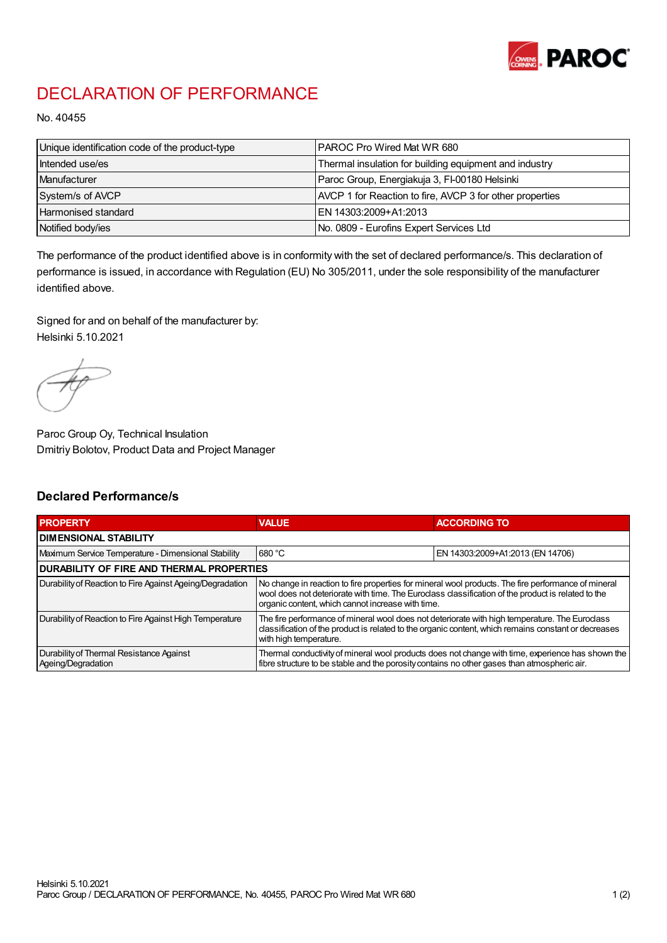

## DECLARATION OF PERFORMANCE

No. 40455

| Unique identification code of the product-type | IPAROC Pro Wired Mat WR 680                              |
|------------------------------------------------|----------------------------------------------------------|
| Intended use/es                                | Thermal insulation for building equipment and industry   |
| Manufacturer                                   | Paroc Group, Energiakuja 3, FI-00180 Helsinki            |
| System/s of AVCP                               | AVCP 1 for Reaction to fire, AVCP 3 for other properties |
| Harmonised standard                            | IEN 14303:2009+A1:2013                                   |
| Notified body/ies                              | No. 0809 - Eurofins Expert Services Ltd                  |

The performance of the product identified above is in conformity with the set of declared performance/s. This declaration of performance is issued, in accordance with Regulation (EU) No 305/2011, under the sole responsibility of the manufacturer identified above.

Signed for and on behalf of the manufacturer by: Helsinki 5.10.2021

Paroc Group Oy, Technical Insulation Dmitriy Bolotov, Product Data and Project Manager

## Declared Performance/s

| <b>PROPERTY</b>                                                | <b>VALUE</b>                                                                                                                                                                                                                                                   | <b>ACCORDING TO.</b>             |  |
|----------------------------------------------------------------|----------------------------------------------------------------------------------------------------------------------------------------------------------------------------------------------------------------------------------------------------------------|----------------------------------|--|
| <b>DIMENSIONAL STABILITY</b>                                   |                                                                                                                                                                                                                                                                |                                  |  |
| Maximum Service Temperature - Dimensional Stability            | 680 °C                                                                                                                                                                                                                                                         | EN 14303:2009+A1:2013 (EN 14706) |  |
| <b>DURABILITY OF FIRE AND THERMAL PROPERTIES</b>               |                                                                                                                                                                                                                                                                |                                  |  |
| Durability of Reaction to Fire Against Ageing/Degradation      | No change in reaction to fire properties for mineral wool products. The fire performance of mineral<br>wool does not deteriorate with time. The Euroclass classification of the product is related to the<br>organic content, which cannot increase with time. |                                  |  |
| Durability of Reaction to Fire Against High Temperature        | The fire performance of mineral wool does not deteriorate with high temperature. The Euroclass<br>classification of the product is related to the organic content, which remains constant or decreases<br>with high temperature.                               |                                  |  |
| Durability of Thermal Resistance Against<br>Ageing/Degradation | Thermal conductivity of mineral wool products does not change with time, experience has shown the<br>fibre structure to be stable and the porosity contains no other gases than atmospheric air.                                                               |                                  |  |